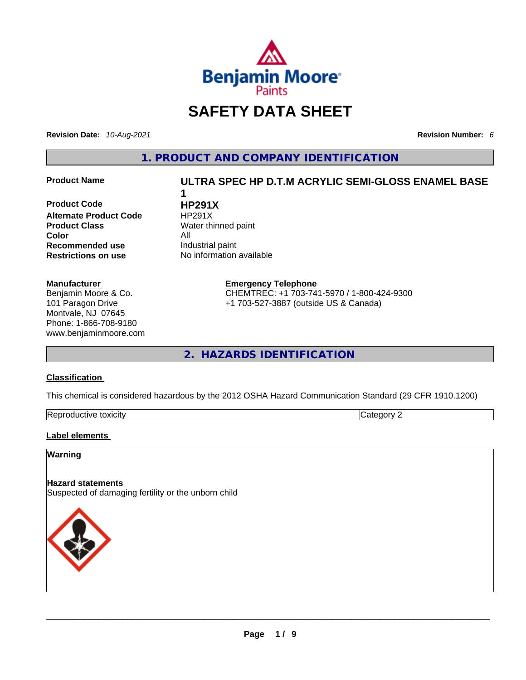

# **SAFETY DATA SHEET**

**Revision Date:** *10-Aug-2021* **Revision Number:** *6*

**1. PRODUCT AND COMPANY IDENTIFICATION** 

**Product Code HP291X Alternate Product Code HP291X Product Class Water thinned paint Color**<br> **Recommended use All** Industrial paint **Recommended use**<br>**Restrictions on use** 

#### **Manufacturer**

Benjamin Moore & Co. 101 Paragon Drive Montvale, NJ 07645 Phone: 1-866-708-9180 www.benjaminmoore.com

# **Product Name ULTRA SPEC HP D.T.M ACRYLIC SEMI-GLOSS ENAMEL BASE**

**No information available** 

**1** 

**Emergency Telephone**

CHEMTREC: +1 703-741-5970 / 1-800-424-9300 +1 703-527-3887 (outside US & Canada)

**2. HAZARDS IDENTIFICATION** 

## **Classification**

This chemical is considered hazardous by the 2012 OSHA Hazard Communication Standard (29 CFR 1910.1200)

| Repro<br>toxicity<br>vauctive t |  |
|---------------------------------|--|
|---------------------------------|--|

#### **Label elements**

#### **Warning**

#### **Hazard statements**

Suspected of damaging fertility or the unborn child

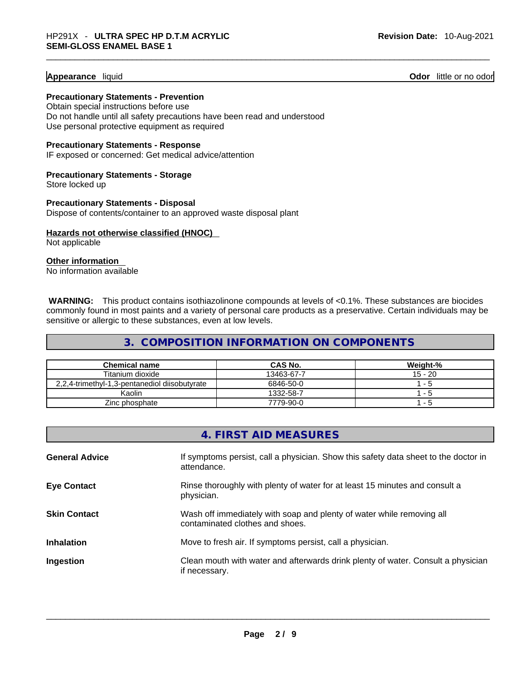#### **Appearance** liquid **Odor 11** and **Odor 11** and **Odor 11** and **Odor 11** and **Odor** 11 and **Odor** 11 and **Odor** 11 and **Odor** 11 and **Odor** 11 and **Odor** 11 and **Odor** 11 and **Odor** 11 and **Odor** 11 and **Odor** 11 and **Odor**

**Precautionary Statements - Prevention** Obtain special instructions before use

Do not handle until all safety precautions have been read and understood Use personal protective equipment as required

**Precautionary Statements - Response**

IF exposed or concerned: Get medical advice/attention

**Precautionary Statements - Storage** Store locked up

**Precautionary Statements - Disposal** Dispose of contents/container to an approved waste disposal plant

**Hazards not otherwise classified (HNOC)**  Not applicable

**Other information** 

No information available

**WARNING:** This product contains isothiazolinone compounds at levels of <0.1%. These substances are biocides commonly found in most paints and a variety of personal care products as a preservative. Certain individuals may be sensitive or allergic to these substances, even at low levels.

# **3. COMPOSITION INFORMATION ON COMPONENTS**

| <b>Chemical name</b>                          | CAS No.    | <b>Weight-%</b> |
|-----------------------------------------------|------------|-----------------|
| Titanium dioxide                              | 13463-67-7 | $15 - 20$       |
| 2,2,4-trimethyl-1,3-pentanediol diisobutyrate | 6846-50-0  | 1 - 5           |
| Kaolin                                        | 1332-58-7  | ่า - 5          |
| Zinc phosphate                                | 7779-90-0  | '- 5            |

|                       | 4. FIRST AID MEASURES                                                                                    |
|-----------------------|----------------------------------------------------------------------------------------------------------|
| <b>General Advice</b> | If symptoms persist, call a physician. Show this safety data sheet to the doctor in<br>attendance.       |
| <b>Eye Contact</b>    | Rinse thoroughly with plenty of water for at least 15 minutes and consult a<br>physician.                |
| <b>Skin Contact</b>   | Wash off immediately with soap and plenty of water while removing all<br>contaminated clothes and shoes. |
| <b>Inhalation</b>     | Move to fresh air. If symptoms persist, call a physician.                                                |
| Ingestion             | Clean mouth with water and afterwards drink plenty of water. Consult a physician<br>if necessary.        |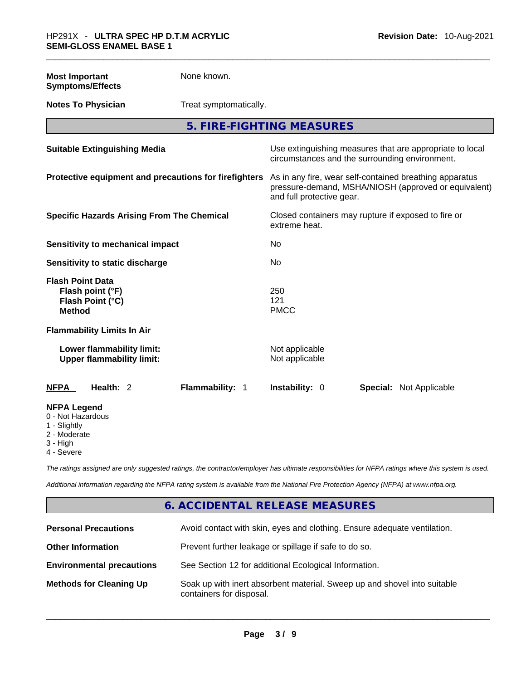| <b>Most Important</b><br><b>Symptoms/Effects</b>                                 | None known.                                           |                                  |                                                                                                                 |
|----------------------------------------------------------------------------------|-------------------------------------------------------|----------------------------------|-----------------------------------------------------------------------------------------------------------------|
| <b>Notes To Physician</b>                                                        | Treat symptomatically.                                |                                  |                                                                                                                 |
|                                                                                  | 5. FIRE-FIGHTING MEASURES                             |                                  |                                                                                                                 |
| <b>Suitable Extinguishing Media</b>                                              |                                                       |                                  | Use extinguishing measures that are appropriate to local<br>circumstances and the surrounding environment.      |
|                                                                                  | Protective equipment and precautions for firefighters | and full protective gear.        | As in any fire, wear self-contained breathing apparatus<br>pressure-demand, MSHA/NIOSH (approved or equivalent) |
| <b>Specific Hazards Arising From The Chemical</b>                                |                                                       | extreme heat.                    | Closed containers may rupture if exposed to fire or                                                             |
| <b>Sensitivity to mechanical impact</b>                                          |                                                       | No                               |                                                                                                                 |
| Sensitivity to static discharge                                                  |                                                       | No                               |                                                                                                                 |
| <b>Flash Point Data</b><br>Flash point (°F)<br>Flash Point (°C)<br><b>Method</b> |                                                       | 250<br>121<br><b>PMCC</b>        |                                                                                                                 |
| <b>Flammability Limits In Air</b>                                                |                                                       |                                  |                                                                                                                 |
| Lower flammability limit:<br><b>Upper flammability limit:</b>                    |                                                       | Not applicable<br>Not applicable |                                                                                                                 |
| Health: 2<br><b>NFPA</b>                                                         | Flammability: 1                                       | Instability: 0                   | <b>Special: Not Applicable</b>                                                                                  |
| <b>NFPA Legend</b><br>0 - Not Hazardous<br>1 - Slightly<br>2 - Moderate          |                                                       |                                  |                                                                                                                 |

3 - High

4 - Severe

*The ratings assigned are only suggested ratings, the contractor/employer has ultimate responsibilities for NFPA ratings where this system is used.* 

*Additional information regarding the NFPA rating system is available from the National Fire Protection Agency (NFPA) at www.nfpa.org.* 

# **6. ACCIDENTAL RELEASE MEASURES**

| <b>Personal Precautions</b>      | Avoid contact with skin, eyes and clothing. Ensure adequate ventilation.                             |
|----------------------------------|------------------------------------------------------------------------------------------------------|
| <b>Other Information</b>         | Prevent further leakage or spillage if safe to do so.                                                |
| <b>Environmental precautions</b> | See Section 12 for additional Ecological Information.                                                |
| <b>Methods for Cleaning Up</b>   | Soak up with inert absorbent material. Sweep up and shovel into suitable<br>containers for disposal. |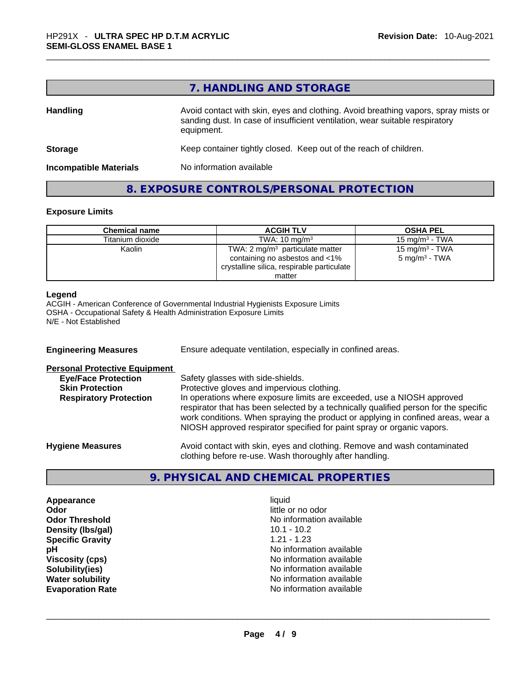# **7. HANDLING AND STORAGE**

| <b>Handling</b>               | Avoid contact with skin, eyes and clothing. Avoid breathing vapors, spray mists or<br>sanding dust. In case of insufficient ventilation, wear suitable respiratory<br>equipment. |
|-------------------------------|----------------------------------------------------------------------------------------------------------------------------------------------------------------------------------|
| <b>Storage</b>                | Keep container tightly closed. Keep out of the reach of children.                                                                                                                |
| <b>Incompatible Materials</b> | No information available                                                                                                                                                         |

### **8. EXPOSURE CONTROLS/PERSONAL PROTECTION**

#### **Exposure Limits**

| <b>Chemical name</b> | <b>ACGIH TLV</b>                                                                                                  | <b>OSHA PEL</b>                                        |
|----------------------|-------------------------------------------------------------------------------------------------------------------|--------------------------------------------------------|
| Titanium dioxide     | TWA: $10 \text{ mg/m}^3$                                                                                          | 15 mg/m $3$ - TWA                                      |
| Kaolin               | TWA: 2 $mg/m3$ particulate matter<br>containing no asbestos and <1%<br>crystalline silica, respirable particulate | 15 mg/m <sup>3</sup> - TWA<br>$5 \text{ mg/m}^3$ - TWA |
|                      | matter                                                                                                            |                                                        |

#### **Legend**

ACGIH - American Conference of Governmental Industrial Hygienists Exposure Limits OSHA - Occupational Safety & Health Administration Exposure Limits N/E - Not Established

| <b>Engineering Measures</b>          | Ensure adequate ventilation, especially in confined areas.                                                                                                                                                                                                                                                                   |
|--------------------------------------|------------------------------------------------------------------------------------------------------------------------------------------------------------------------------------------------------------------------------------------------------------------------------------------------------------------------------|
| <b>Personal Protective Equipment</b> |                                                                                                                                                                                                                                                                                                                              |
| <b>Eye/Face Protection</b>           | Safety glasses with side-shields.                                                                                                                                                                                                                                                                                            |
| <b>Skin Protection</b>               | Protective gloves and impervious clothing.                                                                                                                                                                                                                                                                                   |
| <b>Respiratory Protection</b>        | In operations where exposure limits are exceeded, use a NIOSH approved<br>respirator that has been selected by a technically qualified person for the specific<br>work conditions. When spraying the product or applying in confined areas, wear a<br>NIOSH approved respirator specified for paint spray or organic vapors. |
| <b>Hygiene Measures</b>              | Avoid contact with skin, eyes and clothing. Remove and wash contaminated<br>clothing before re-use. Wash thoroughly after handling.                                                                                                                                                                                          |

# **9. PHYSICAL AND CHEMICAL PROPERTIES**

**Appearance liquid Odor**<br> **Odor Threshold**<br> **Odor Threshold**<br> **CODOR**<br> **CODOR**<br> **CODOR**<br> **CODOR**<br> **CODOR**<br> **CODOR**<br> **CODOR**<br> **CODOR**<br> **CODOR Density (Ibs/gal)** 10.1 - 10.2<br> **Specific Gravity** 1.21 - 1.23 **Specific Gravity** 

No information available<br>10.1 - 10.2 **pH pH No** information available **Viscosity (cps) Viscosity (cps) No information available Solubility(ies)**<br> **No information available**<br> **Water solubility**<br> **Water solubility No information available Evaporation Rate** No information available \_\_\_\_\_\_\_\_\_\_\_\_\_\_\_\_\_\_\_\_\_\_\_\_\_\_\_\_\_\_\_\_\_\_\_\_\_\_\_\_\_\_\_\_\_\_\_\_\_\_\_\_\_\_\_\_\_\_\_\_\_\_\_\_\_\_\_\_\_\_\_\_\_\_\_\_\_\_\_\_\_\_\_\_\_\_\_\_\_\_\_\_\_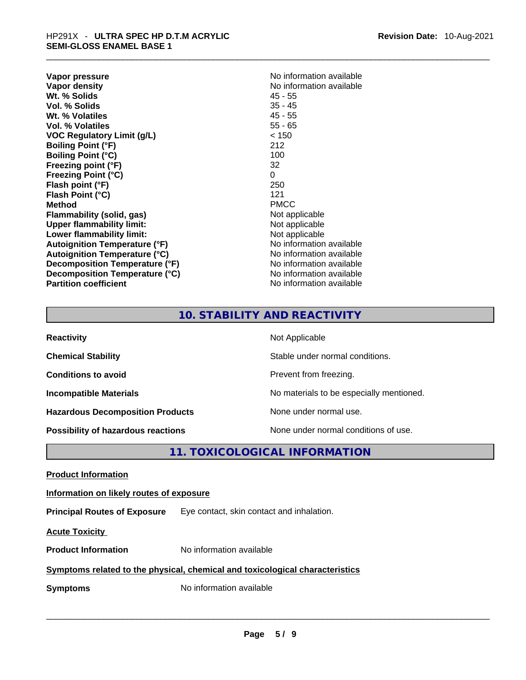| No information available |
|--------------------------|
| No information available |
| 45 - 55                  |
| $35 - 45$                |
| $45 - 55$                |
| $55 - 65$                |
| < 150                    |
| 212                      |
| 100                      |
| 32                       |
| 0                        |
| 250                      |
| 121                      |
| <b>PMCC</b>              |
| Not applicable           |
| Not applicable           |
| Not applicable           |
| No information available |
| No information available |
| No information available |
| No information available |
| No information available |
|                          |

| No information available |
|--------------------------|
| No information available |
| 45 - 55                  |
| 35 - 45                  |
| 45 - 55                  |
| 55 - 65                  |
| < 150                    |
| 212                      |
| 100                      |
| 32                       |
| 0                        |
| 250                      |
| 121                      |
| PMCC                     |
| Not applicable           |
| Not applicable           |
| Not applicable           |
| No information available |
| No information available |
| No information available |
| No information available |
| No information available |
|                          |

# **10. STABILITY AND REACTIVITY**

| <b>Reactivity</b>                         | Not Applicable                           |
|-------------------------------------------|------------------------------------------|
| <b>Chemical Stability</b>                 | Stable under normal conditions.          |
| <b>Conditions to avoid</b>                | Prevent from freezing.                   |
| <b>Incompatible Materials</b>             | No materials to be especially mentioned. |
| <b>Hazardous Decomposition Products</b>   | None under normal use.                   |
| <b>Possibility of hazardous reactions</b> | None under normal conditions of use.     |

# **11. TOXICOLOGICAL INFORMATION**

**Product Information Information on likely routes of exposure Principal Routes of Exposure** Eye contact, skin contact and inhalation. **Acute Toxicity Product Information** No information available **Symptoms related to the physical,chemical and toxicological characteristics Symptoms** No information available **Notifically and the set of the set of the set of the set of the set of the set of the set of the set of the set of the set of the set of the set of the set of the set of the set of the**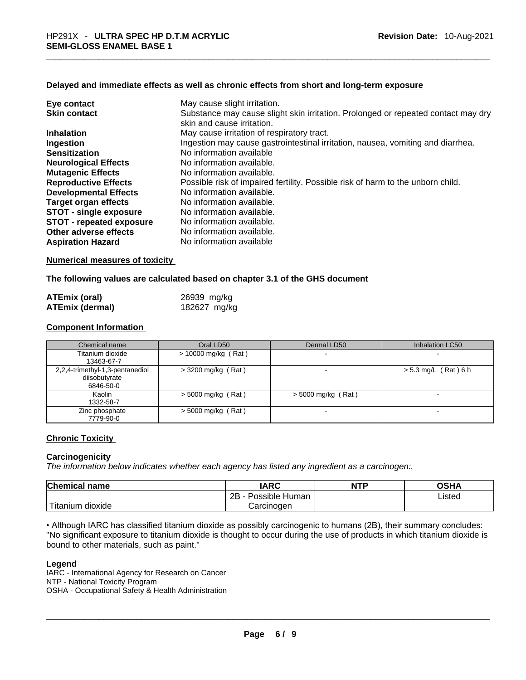### **Delayed and immediate effects as well as chronic effects from short and long-term exposure**

| Eye contact                     | May cause slight irritation.                                                                                    |
|---------------------------------|-----------------------------------------------------------------------------------------------------------------|
| <b>Skin contact</b>             | Substance may cause slight skin irritation. Prolonged or repeated contact may dry<br>skin and cause irritation. |
| <b>Inhalation</b>               | May cause irritation of respiratory tract.                                                                      |
| Ingestion                       | Ingestion may cause gastrointestinal irritation, nausea, vomiting and diarrhea.                                 |
| <b>Sensitization</b>            | No information available                                                                                        |
| <b>Neurological Effects</b>     | No information available.                                                                                       |
| <b>Mutagenic Effects</b>        | No information available.                                                                                       |
| <b>Reproductive Effects</b>     | Possible risk of impaired fertility. Possible risk of harm to the unborn child.                                 |
| <b>Developmental Effects</b>    | No information available.                                                                                       |
| Target organ effects            | No information available.                                                                                       |
| <b>STOT - single exposure</b>   | No information available.                                                                                       |
| <b>STOT - repeated exposure</b> | No information available.                                                                                       |
| Other adverse effects           | No information available.                                                                                       |
| <b>Aspiration Hazard</b>        | No information available                                                                                        |

#### **Numerical measures of toxicity**

#### **The following values are calculated based on chapter 3.1 of the GHS document**

| <b>ATEmix (oral)</b>   | 26939 mg/kg  |
|------------------------|--------------|
| <b>ATEmix (dermal)</b> | 182627 mg/kg |

#### **Component Information**

| Chemical name                                                 | Oral LD50             | Dermal LD50          | Inhalation LC50          |
|---------------------------------------------------------------|-----------------------|----------------------|--------------------------|
| Titanium dioxide<br>13463-67-7                                | $> 10000$ mg/kg (Rat) | $\blacksquare$       | $\overline{\phantom{a}}$ |
| 2,2,4-trimethyl-1,3-pentanediol<br>diisobutyrate<br>6846-50-0 | $>$ 3200 mg/kg (Rat)  |                      | $> 5.3$ mg/L (Rat) 6 h   |
| Kaolin<br>1332-58-7                                           | $>$ 5000 mg/kg (Rat)  | $>$ 5000 mg/kg (Rat) | -                        |
| Zinc phosphate<br>7779-90-0                                   | $>$ 5000 mg/kg (Rat)  |                      | $\sim$                   |

#### **Chronic Toxicity**

#### **Carcinogenicity**

*The information below indicates whether each agency has listed any ingredient as a carcinogen:.* 

| <b>Chemical name</b> | IARC                 | <b>NTP</b> | OSHA   |
|----------------------|----------------------|------------|--------|
|                      | 2Β<br>Possible Human |            | Listed |
| Titanium.<br>dioxide | Carcinogen           |            |        |

• Although IARC has classified titanium dioxide as possibly carcinogenic to humans (2B), their summary concludes: "No significant exposure to titanium dioxide is thought to occur during the use of products in which titanium dioxide is<br>bound to other materials, such as paint."

#### **Legend**

bound to other materials, such as paint."<br>
Legend<br>
IARC - International Agency for Research on Cancer<br>
NTP - National Toxicity Program<br>
OSHA - Occupational Safety & Health Administration<br>
\_\_\_\_\_\_\_\_\_\_\_\_\_\_\_\_\_\_\_\_\_\_\_\_\_\_\_\_\_\_\_\_\_\_ IARC - International Agency for Research on Cancer NTP - National Toxicity Program OSHA - Occupational Safety & Health Administration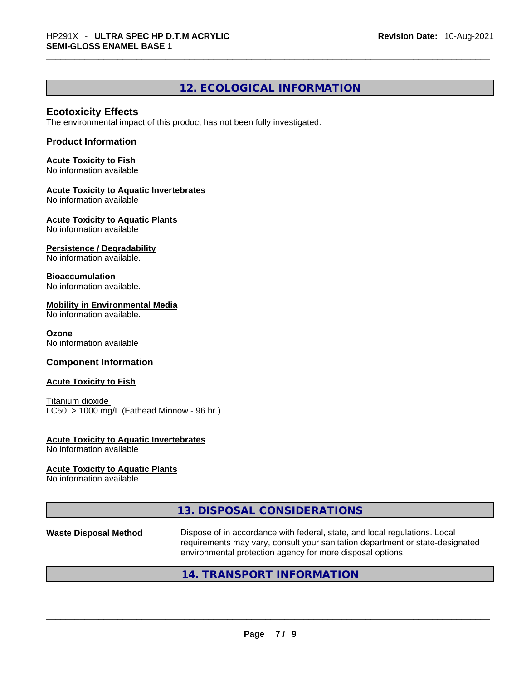# **12. ECOLOGICAL INFORMATION**

### **Ecotoxicity Effects**

The environmental impact of this product has not been fully investigated.

#### **Product Information**

**Acute Toxicity to Fish** No information available

#### **Acute Toxicity to Aquatic Invertebrates**

No information available

**Acute Toxicity to Aquatic Plants** No information available

#### **Persistence / Degradability**

No information available.

#### **Bioaccumulation**

No information available.

#### **Mobility in Environmental Media**

No information available.

#### **Ozone**

No information available

#### **Component Information**

#### **Acute Toxicity to Fish**

Titanium dioxide  $LC50:$  > 1000 mg/L (Fathead Minnow - 96 hr.)

#### **Acute Toxicity to Aquatic Invertebrates**

No information available

#### **Acute Toxicity to Aquatic Plants**

No information available

# **13. DISPOSAL CONSIDERATIONS**

**Waste Disposal Method** Dispose of in accordance with federal, state, and local regulations. Local requirements may vary, consult your sanitation department or state-designated environmental protection agency for more disposal options.

### **14. TRANSPORT INFORMATION**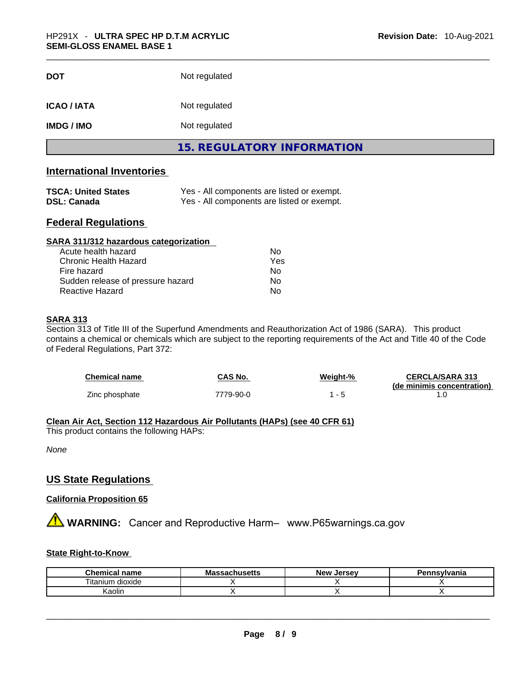| <b>DOT</b>                                                            | Not regulated                     |
|-----------------------------------------------------------------------|-----------------------------------|
| <b>ICAO/IATA</b>                                                      | Not regulated                     |
| <b>IMDG / IMO</b>                                                     | Not regulated                     |
|                                                                       | <b>15. REGULATORY INFORMATION</b> |
| $\mathbf{r}$ , and $\mathbf{r}$ , and $\mathbf{r}$ , and $\mathbf{r}$ |                                   |

#### **International Inventories**

| <b>TSCA: United States</b> | Yes - All components are listed or exempt. |
|----------------------------|--------------------------------------------|
| <b>DSL: Canada</b>         | Yes - All components are listed or exempt. |

# **Federal Regulations**

| SARA 311/312 hazardous categorization |     |  |
|---------------------------------------|-----|--|
| Acute health hazard                   | Nο  |  |
| Chronic Health Hazard                 | Yes |  |
| Fire hazard                           | No  |  |
| Sudden release of pressure hazard     | Nο  |  |
| <b>Reactive Hazard</b>                | No  |  |

#### **SARA 313**

Section 313 of Title III of the Superfund Amendments and Reauthorization Act of 1986 (SARA). This product contains a chemical or chemicals which are subject to the reporting requirements of the Act and Title 40 of the Code of Federal Regulations, Part 372:

| Chemical name  | CAS No.   | Weight-% | <b>CERCLA/SARA 313</b>     |
|----------------|-----------|----------|----------------------------|
| Zinc phosphate | 7779-90-0 | $ \sim$  | (de minimis concentration) |

# **Clean Air Act,Section 112 Hazardous Air Pollutants (HAPs) (see 40 CFR 61)**

This product contains the following HAPs:

*None*

# **US State Regulations**

#### **California Proposition 65**

**A** WARNING: Cancer and Reproductive Harm– www.P65warnings.ca.gov

#### **State Right-to-Know**

| <b>Chemical name</b>   | <b>Massachusetts</b> | New<br>. Jersev | Pennsylvania |
|------------------------|----------------------|-----------------|--------------|
| <br>dioxide<br>ıtanıum |                      |                 |              |
| ∖aolın                 |                      |                 |              |